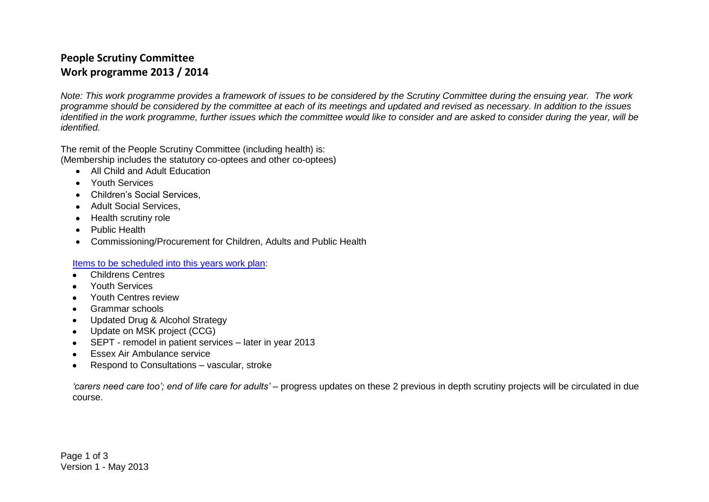## **People Scrutiny Committee Work programme 2013 / 2014**

*Note: This work programme provides a framework of issues to be considered by the Scrutiny Committee during the ensuing year. The work programme should be considered by the committee at each of its meetings and updated and revised as necessary. In addition to the issues identified in the work programme, further issues which the committee would like to consider and are asked to consider during the year, will be identified.*

The remit of the People Scrutiny Committee (including health) is: (Membership includes the statutory co-optees and other co-optees)

- All Child and Adult Education
- Youth Services
- Children's Social Services,
- Adult Social Services.
- Health scrutiny role
- Public Health
- Commissioning/Procurement for Children, Adults and Public Health

Items to be scheduled into this years work plan:

- Childrens Centres
- Youth Services  $\bullet$
- Youth Centres review  $\bullet$
- Grammar schools
- Updated Drug & Alcohol Strategy
- Update on MSK project (CCG)
- SEPT remodel in patient services later in year 2013
- **Essex Air Ambulance service**
- Respond to Consultations vascular, stroke

*'carers need care too'; end of life care for adults'* – progress updates on these 2 previous in depth scrutiny projects will be circulated in due course.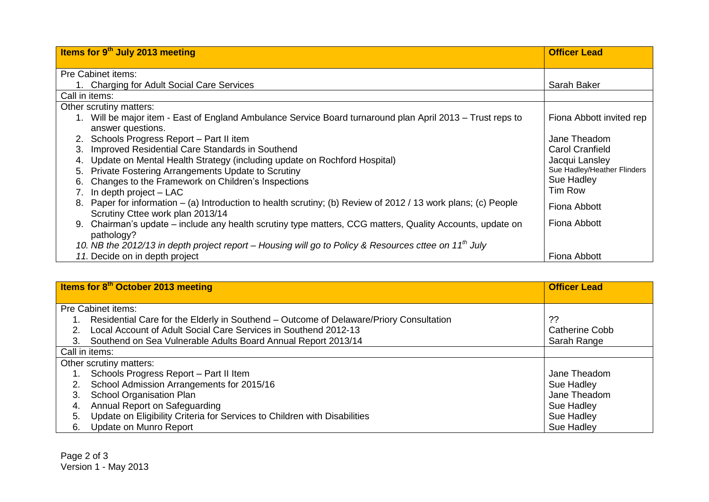| Items for 9 <sup>th</sup> July 2013 meeting                                                                                                        | <b>Officer Lead</b>         |
|----------------------------------------------------------------------------------------------------------------------------------------------------|-----------------------------|
|                                                                                                                                                    |                             |
| Pre Cabinet items:                                                                                                                                 |                             |
| 1. Charging for Adult Social Care Services                                                                                                         | Sarah Baker                 |
| Call in items:                                                                                                                                     |                             |
| Other scrutiny matters:                                                                                                                            |                             |
| 1. Will be major item - East of England Ambulance Service Board turnaround plan April 2013 – Trust reps to                                         | Fiona Abbott invited rep    |
| answer questions.                                                                                                                                  |                             |
| 2. Schools Progress Report - Part II item                                                                                                          | Jane Theadom                |
| 3. Improved Residential Care Standards in Southend                                                                                                 | <b>Carol Cranfield</b>      |
| Update on Mental Health Strategy (including update on Rochford Hospital)<br>4.                                                                     | Jacqui Lansley              |
| Private Fostering Arrangements Update to Scrutiny<br>5.                                                                                            | Sue Hadley/Heather Flinders |
| 6. Changes to the Framework on Children's Inspections                                                                                              | Sue Hadley                  |
| In depth project - LAC                                                                                                                             | Tim Row                     |
| 8. Paper for information – (a) Introduction to health scrutiny; (b) Review of 2012 / 13 work plans; (c) People<br>Scrutiny Cttee work plan 2013/14 | Fiona Abbott                |
| Chairman's update – include any health scrutiny type matters, CCG matters, Quality Accounts, update on<br>9.                                       | Fiona Abbott                |
| pathology?                                                                                                                                         |                             |
| 10. NB the 2012/13 in depth project report - Housing will go to Policy & Resources cttee on 11 <sup>th</sup> July                                  |                             |
| 11. Decide on in depth project                                                                                                                     | Fiona Abbott                |

| Items for 8 <sup>th</sup> October 2013 meeting |                                                                                        | <b>Officer Lead</b> |
|------------------------------------------------|----------------------------------------------------------------------------------------|---------------------|
| Pre Cabinet items:                             |                                                                                        |                     |
|                                                | Residential Care for the Elderly in Southend – Outcome of Delaware/Priory Consultation | ??                  |
|                                                | Local Account of Adult Social Care Services in Southend 2012-13                        | Catherine Cobb      |
|                                                | Southend on Sea Vulnerable Adults Board Annual Report 2013/14                          | Sarah Range         |
|                                                | Call in items:                                                                         |                     |
|                                                | Other scrutiny matters:                                                                |                     |
|                                                | Schools Progress Report - Part II Item                                                 | Jane Theadom        |
|                                                | School Admission Arrangements for 2015/16                                              | Sue Hadley          |
| 3.                                             | <b>School Organisation Plan</b>                                                        | Jane Theadom        |
| 4.                                             | Annual Report on Safeguarding                                                          | Sue Hadley          |
| 5.                                             | Update on Eligibility Criteria for Services to Children with Disabilities              | Sue Hadley          |
| 6.                                             | Update on Munro Report                                                                 | Sue Hadley          |